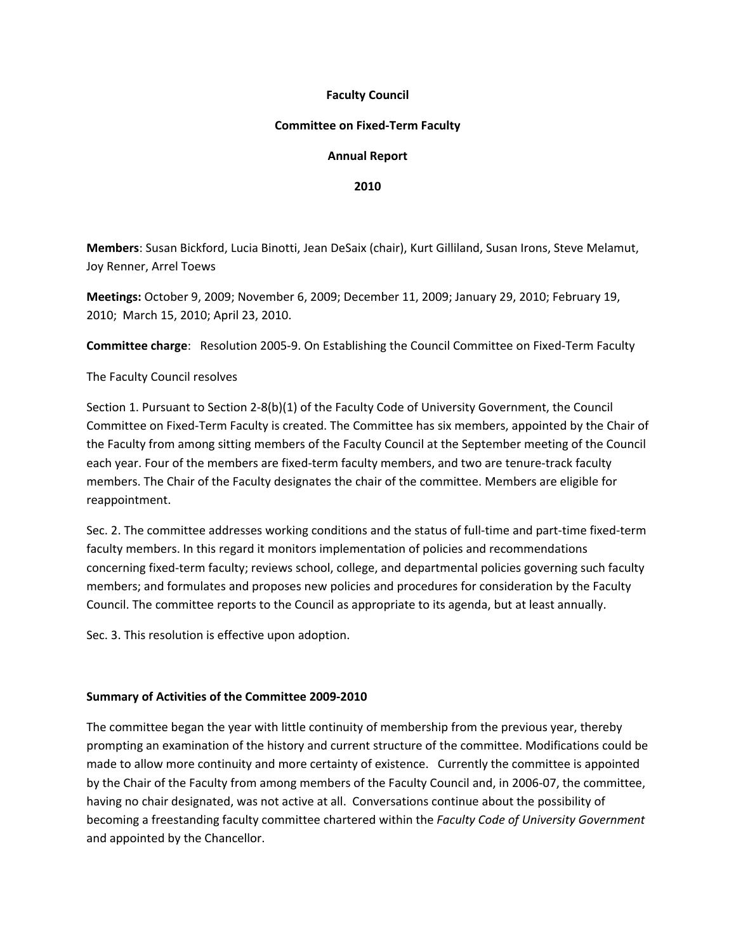## **Faculty Council**

## **Committee on Fixed‐Term Faculty**

# **Annual Report**

#### **2010**

**Members**: Susan Bickford, Lucia Binotti, Jean DeSaix (chair), Kurt Gilliland, Susan Irons, Steve Melamut, Joy Renner, Arrel Toews

**Meetings:** October 9, 2009; November 6, 2009; December 11, 2009; January 29, 2010; February 19, 2010; March 15, 2010; April 23, 2010.

**Committee charge**: Resolution 2005‐9. On Establishing the Council Committee on Fixed‐Term Faculty

The Faculty Council resolves

Section 1. Pursuant to Section 2‐8(b)(1) of the Faculty Code of University Government, the Council Committee on Fixed‐Term Faculty is created. The Committee has six members, appointed by the Chair of the Faculty from among sitting members of the Faculty Council at the September meeting of the Council each year. Four of the members are fixed-term faculty members, and two are tenure-track faculty members. The Chair of the Faculty designates the chair of the committee. Members are eligible for reappointment.

Sec. 2. The committee addresses working conditions and the status of full‐time and part‐time fixed‐term faculty members. In this regard it monitors implementation of policies and recommendations concerning fixed‐term faculty; reviews school, college, and departmental policies governing such faculty members; and formulates and proposes new policies and procedures for consideration by the Faculty Council. The committee reports to the Council as appropriate to its agenda, but at least annually.

Sec. 3. This resolution is effective upon adoption.

## **Summary of Activities of the Committee 2009‐2010**

The committee began the year with little continuity of membership from the previous year, thereby prompting an examination of the history and current structure of the committee. Modifications could be made to allow more continuity and more certainty of existence. Currently the committee is appointed by the Chair of the Faculty from among members of the Faculty Council and, in 2006‐07, the committee, having no chair designated, was not active at all. Conversations continue about the possibility of becoming a freestanding faculty committee chartered within the *Faculty Code of University Government* and appointed by the Chancellor.